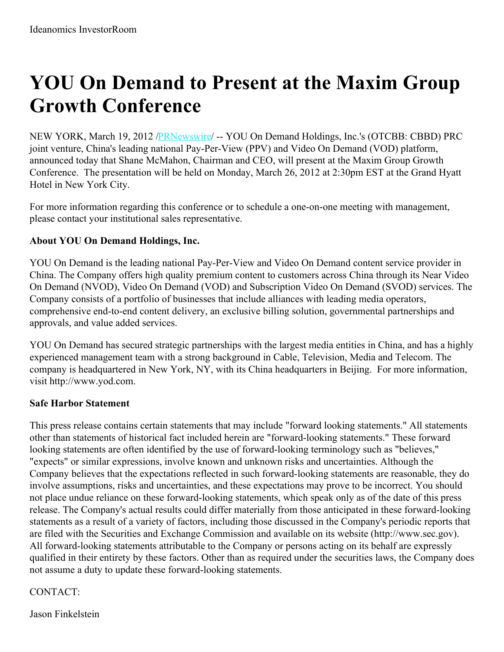## **YOU On Demand to Present at the Maxim Group Growth Conference**

NEW YORK, March 19, 2012 [/PRNewswire](http://www.prnewswire.com/)/ -- YOU On Demand Holdings, Inc.'s (OTCBB: CBBD) PRC joint venture, China's leading national Pay-Per-View (PPV) and Video On Demand (VOD) platform, announced today that Shane McMahon, Chairman and CEO, will present at the Maxim Group Growth Conference. The presentation will be held on Monday, March 26, 2012 at 2:30pm EST at the Grand Hyatt Hotel in New York City.

For more information regarding this conference or to schedule a one-on-one meeting with management, please contact your institutional sales representative.

## **About YOU On Demand Holdings, Inc.**

YOU On Demand is the leading national Pay-Per-View and Video On Demand content service provider in China. The Company offers high quality premium content to customers across China through its Near Video On Demand (NVOD), Video On Demand (VOD) and Subscription Video On Demand (SVOD) services. The Company consists of a portfolio of businesses that include alliances with leading media operators, comprehensive end-to-end content delivery, an exclusive billing solution, governmental partnerships and approvals, and value added services.

YOU On Demand has secured strategic partnerships with the largest media entities in China, and has a highly experienced management team with a strong background in Cable, Television, Media and Telecom. The company is headquartered in New York, NY, with its China headquarters in Beijing. For more information, visit http://www.yod.com.

## **Safe Harbor Statement**

This press release contains certain statements that may include "forward looking statements." All statements other than statements of historical fact included herein are "forward-looking statements." These forward looking statements are often identified by the use of forward-looking terminology such as "believes," "expects" or similar expressions, involve known and unknown risks and uncertainties. Although the Company believes that the expectations reflected in such forward-looking statements are reasonable, they do involve assumptions, risks and uncertainties, and these expectations may prove to be incorrect. You should not place undue reliance on these forward-looking statements, which speak only as of the date of this press release. The Company's actual results could differ materially from those anticipated in these forward-looking statements as a result of a variety of factors, including those discussed in the Company's periodic reports that are filed with the Securities and Exchange Commission and available on its website (http://www.sec.gov). All forward-looking statements attributable to the Company or persons acting on its behalf are expressly qualified in their entirety by these factors. Other than as required under the securities laws, the Company does not assume a duty to update these forward-looking statements.

## CONTACT:

Jason Finkelstein